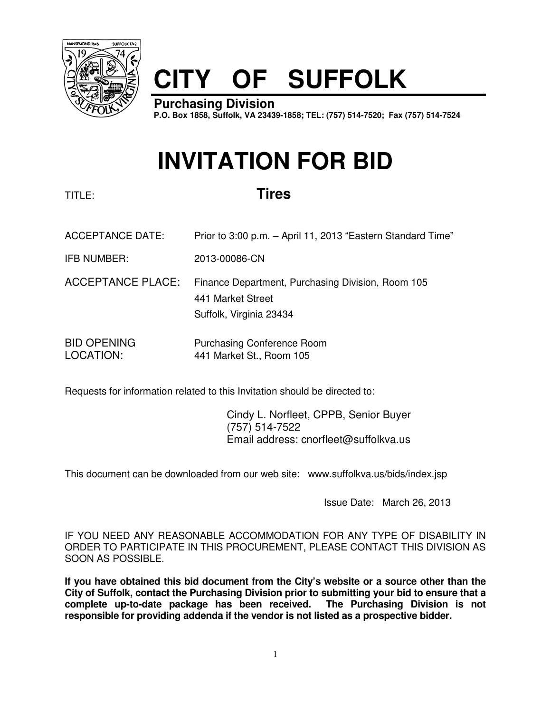

# **CITY OF SUFFOLK**

**Purchasing Division P.O. Box 1858, Suffolk, VA 23439-1858; TEL: (757) 514-7520; Fax (757) 514-7524**

# **INVITATION FOR BID**

# TITLE: **Tires**

- ACCEPTANCE DATE: Prior to 3:00 p.m. April 11, 2013 "Eastern Standard Time"
- IFB NUMBER: 2013-00086-CN
- ACCEPTANCE PLACE: Finance Department, Purchasing Division, Room 105 441 Market Street Suffolk, Virginia 23434
- BID OPENING Purchasing Conference Room LOCATION: 441 Market St., Room 105

Requests for information related to this Invitation should be directed to:

 Cindy L. Norfleet, CPPB, Senior Buyer (757) 514-7522 Email address: cnorfleet@suffolkva.us

This document can be downloaded from our web site: www.suffolkva.us/bids/index.jsp

Issue Date: March 26, 2013

IF YOU NEED ANY REASONABLE ACCOMMODATION FOR ANY TYPE OF DISABILITY IN ORDER TO PARTICIPATE IN THIS PROCUREMENT, PLEASE CONTACT THIS DIVISION AS SOON AS POSSIBLE.

**If you have obtained this bid document from the City's website or a source other than the City of Suffolk, contact the Purchasing Division prior to submitting your bid to ensure that a complete up-to-date package has been received. The Purchasing Division is not responsible for providing addenda if the vendor is not listed as a prospective bidder.**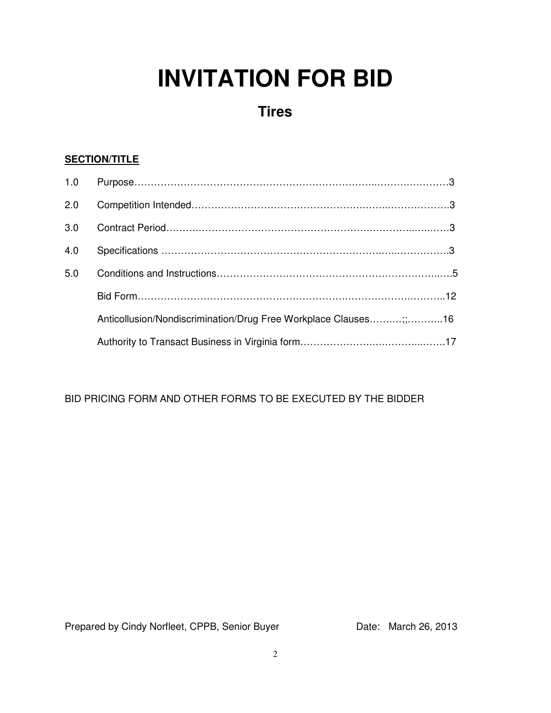# **INVITATION FOR BID**

# **Tires**

# **SECTION/TITLE**

| 2.0 |                                                                 |  |
|-----|-----------------------------------------------------------------|--|
| 3.0 |                                                                 |  |
| 4.0 |                                                                 |  |
| 5.0 |                                                                 |  |
|     |                                                                 |  |
|     | Anticollusion/Nondiscrimination/Drug Free Workplace Clauses;;16 |  |
|     |                                                                 |  |

# BID PRICING FORM AND OTHER FORMS TO BE EXECUTED BY THE BIDDER

Prepared by Cindy Norfleet, CPPB, Senior Buyer Date: March 26, 2013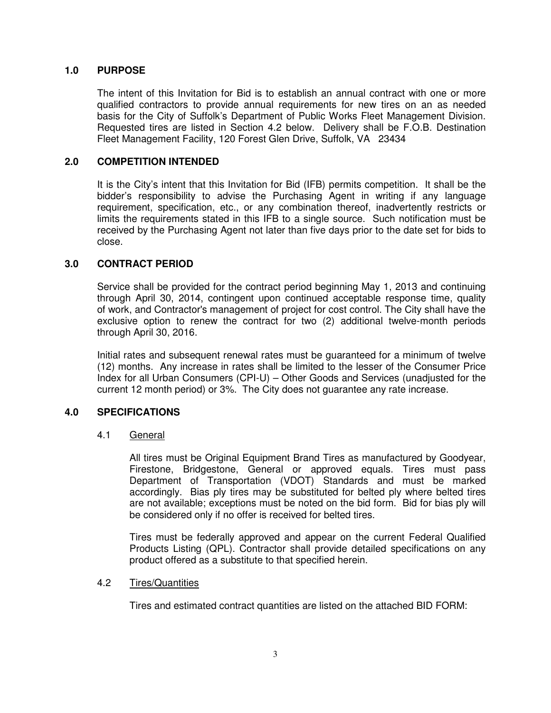# **1.0 PURPOSE**

 The intent of this Invitation for Bid is to establish an annual contract with one or more qualified contractors to provide annual requirements for new tires on an as needed basis for the City of Suffolk's Department of Public Works Fleet Management Division. Requested tires are listed in Section 4.2 below. Delivery shall be F.O.B. Destination Fleet Management Facility, 120 Forest Glen Drive, Suffolk, VA 23434

# **2.0 COMPETITION INTENDED**

It is the City's intent that this Invitation for Bid (IFB) permits competition. It shall be the bidder's responsibility to advise the Purchasing Agent in writing if any language requirement, specification, etc., or any combination thereof, inadvertently restricts or limits the requirements stated in this IFB to a single source. Such notification must be received by the Purchasing Agent not later than five days prior to the date set for bids to close.

# **3.0 CONTRACT PERIOD**

Service shall be provided for the contract period beginning May 1, 2013 and continuing through April 30, 2014, contingent upon continued acceptable response time, quality of work, and Contractor's management of project for cost control. The City shall have the exclusive option to renew the contract for two (2) additional twelve-month periods through April 30, 2016.

 Initial rates and subsequent renewal rates must be guaranteed for a minimum of twelve (12) months. Any increase in rates shall be limited to the lesser of the Consumer Price Index for all Urban Consumers (CPI-U) – Other Goods and Services (unadjusted for the current 12 month period) or 3%. The City does not guarantee any rate increase.

# **4.0 SPECIFICATIONS**

## 4.1 General

All tires must be Original Equipment Brand Tires as manufactured by Goodyear, Firestone, Bridgestone, General or approved equals. Tires must pass Department of Transportation (VDOT) Standards and must be marked accordingly. Bias ply tires may be substituted for belted ply where belted tires are not available; exceptions must be noted on the bid form. Bid for bias ply will be considered only if no offer is received for belted tires.

Tires must be federally approved and appear on the current Federal Qualified Products Listing (QPL). Contractor shall provide detailed specifications on any product offered as a substitute to that specified herein.

## 4.2 Tires/Quantities

Tires and estimated contract quantities are listed on the attached BID FORM: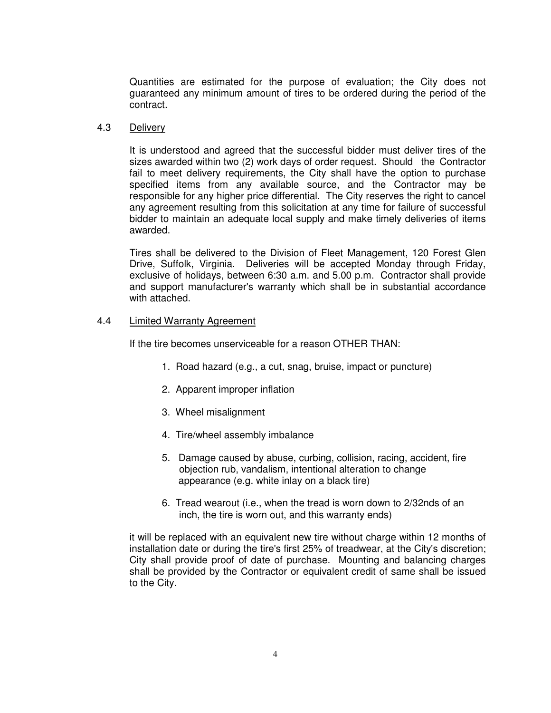Quantities are estimated for the purpose of evaluation; the City does not guaranteed any minimum amount of tires to be ordered during the period of the contract.

## 4.3 Delivery

It is understood and agreed that the successful bidder must deliver tires of the sizes awarded within two (2) work days of order request. Should the Contractor fail to meet delivery requirements, the City shall have the option to purchase specified items from any available source, and the Contractor may be responsible for any higher price differential. The City reserves the right to cancel any agreement resulting from this solicitation at any time for failure of successful bidder to maintain an adequate local supply and make timely deliveries of items awarded.

Tires shall be delivered to the Division of Fleet Management, 120 Forest Glen Drive, Suffolk, Virginia. Deliveries will be accepted Monday through Friday, exclusive of holidays, between 6:30 a.m. and 5.00 p.m. Contractor shall provide and support manufacturer's warranty which shall be in substantial accordance with attached.

### 4.4 **Limited Warranty Agreement**

If the tire becomes unserviceable for a reason OTHER THAN:

- 1. Road hazard (e.g., a cut, snag, bruise, impact or puncture)
- 2. Apparent improper inflation
- 3. Wheel misalignment
- 4. Tire/wheel assembly imbalance
- 5. Damage caused by abuse, curbing, collision, racing, accident, fire objection rub, vandalism, intentional alteration to change appearance (e.g. white inlay on a black tire)
- 6. Tread wearout (i.e., when the tread is worn down to 2/32nds of an inch, the tire is worn out, and this warranty ends)

it will be replaced with an equivalent new tire without charge within 12 months of installation date or during the tire's first 25% of treadwear, at the City's discretion; City shall provide proof of date of purchase. Mounting and balancing charges shall be provided by the Contractor or equivalent credit of same shall be issued to the City.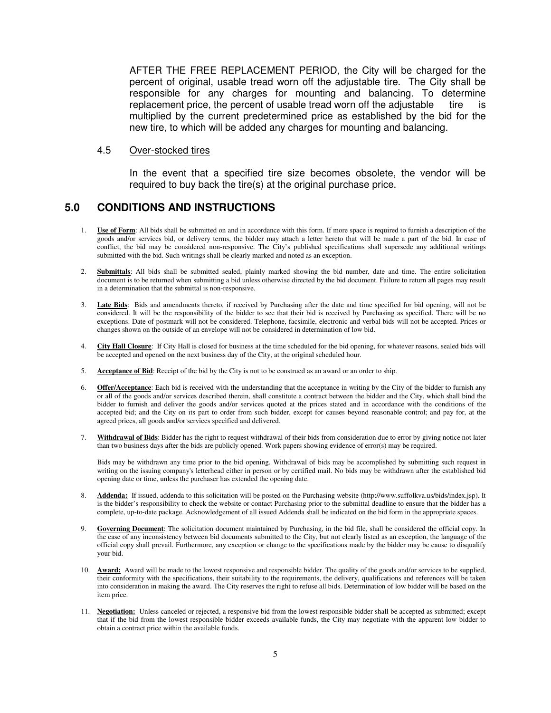AFTER THE FREE REPLACEMENT PERIOD, the City will be charged for the percent of original, usable tread worn off the adjustable tire. The City shall be responsible for any charges for mounting and balancing. To determine replacement price, the percent of usable tread worn off the adjustable tire is multiplied by the current predetermined price as established by the bid for the new tire, to which will be added any charges for mounting and balancing.

#### 4.5 Over-stocked tires

In the event that a specified tire size becomes obsolete, the vendor will be required to buy back the tire(s) at the original purchase price.

# **5.0 CONDITIONS AND INSTRUCTIONS**

- 1. **Use of Form**: All bids shall be submitted on and in accordance with this form. If more space is required to furnish a description of the goods and/or services bid, or delivery terms, the bidder may attach a letter hereto that will be made a part of the bid. In case of conflict, the bid may be considered non-responsive. The City's published specifications shall supersede any additional writings submitted with the bid. Such writings shall be clearly marked and noted as an exception.
- 2. **Submittals**: All bids shall be submitted sealed, plainly marked showing the bid number, date and time. The entire solicitation document is to be returned when submitting a bid unless otherwise directed by the bid document. Failure to return all pages may result in a determination that the submittal is non-responsive.
- 3. **Late Bids**: Bids and amendments thereto, if received by Purchasing after the date and time specified for bid opening, will not be considered. It will be the responsibility of the bidder to see that their bid is received by Purchasing as specified. There will be no exceptions. Date of postmark will not be considered. Telephone, facsimile, electronic and verbal bids will not be accepted. Prices or changes shown on the outside of an envelope will not be considered in determination of low bid.
- 4. **City Hall Closure**: If City Hall is closed for business at the time scheduled for the bid opening, for whatever reasons, sealed bids will be accepted and opened on the next business day of the City, at the original scheduled hour.
- 5. **Acceptance of Bid**: Receipt of the bid by the City is not to be construed as an award or an order to ship.
- 6. **Offer/Acceptance**: Each bid is received with the understanding that the acceptance in writing by the City of the bidder to furnish any or all of the goods and/or services described therein, shall constitute a contract between the bidder and the City, which shall bind the bidder to furnish and deliver the goods and/or services quoted at the prices stated and in accordance with the conditions of the accepted bid; and the City on its part to order from such bidder, except for causes beyond reasonable control; and pay for, at the agreed prices, all goods and/or services specified and delivered.
- 7. **Withdrawal of Bids**: Bidder has the right to request withdrawal of their bids from consideration due to error by giving notice not later than two business days after the bids are publicly opened. Work papers showing evidence of error(s) may be required.

Bids may be withdrawn any time prior to the bid opening. Withdrawal of bids may be accomplished by submitting such request in writing on the issuing company's letterhead either in person or by certified mail. No bids may be withdrawn after the established bid opening date or time, unless the purchaser has extended the opening date.

- 8. **Addenda:** If issued, addenda to this solicitation will be posted on the Purchasing website (http://www.suffolkva.us/bids/index.jsp). It is the bidder's responsibility to check the website or contact Purchasing prior to the submittal deadline to ensure that the bidder has a complete, up-to-date package. Acknowledgement of all issued Addenda shall be indicated on the bid form in the appropriate spaces.
- 9. **Governing Document**: The solicitation document maintained by Purchasing, in the bid file, shall be considered the official copy. In the case of any inconsistency between bid documents submitted to the City, but not clearly listed as an exception, the language of the official copy shall prevail. Furthermore, any exception or change to the specifications made by the bidder may be cause to disqualify your bid.
- 10. **Award:** Award will be made to the lowest responsive and responsible bidder. The quality of the goods and/or services to be supplied, their conformity with the specifications, their suitability to the requirements, the delivery, qualifications and references will be taken into consideration in making the award. The City reserves the right to refuse all bids. Determination of low bidder will be based on the item price.
- 11. **Negotiation:** Unless canceled or rejected, a responsive bid from the lowest responsible bidder shall be accepted as submitted; except that if the bid from the lowest responsible bidder exceeds available funds, the City may negotiate with the apparent low bidder to obtain a contract price within the available funds.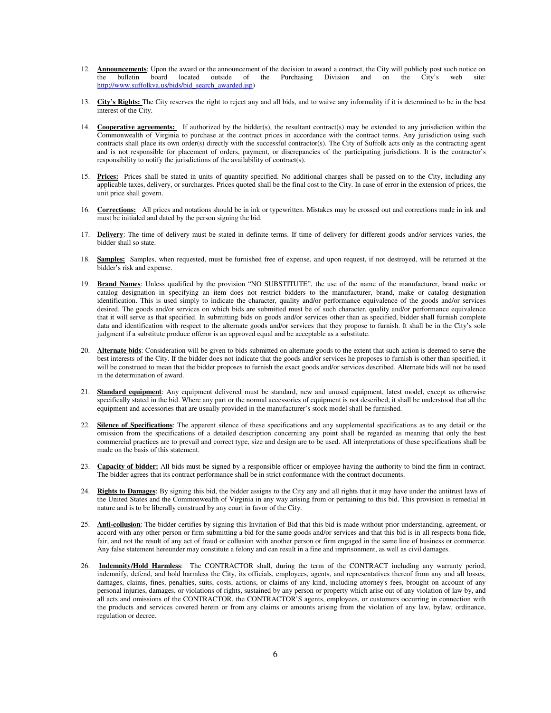- 12. **Announcements**: Upon the award or the announcement of the decision to award a contract, the City will publicly post such notice on the bulletin board located outside of the Purchasing Division and on the City's web site: http://www.suffolkva.us/bids/bid\_search\_awarded.jsp)
- 13. **City's Rights:** The City reserves the right to reject any and all bids, and to waive any informality if it is determined to be in the best interest of the City.
- 14. **Cooperative agreements:** If authorized by the bidder(s), the resultant contract(s) may be extended to any jurisdiction within the Commonwealth of Virginia to purchase at the contract prices in accordance with the contract terms. Any jurisdiction using such contracts shall place its own order(s) directly with the successful contractor(s). The City of Suffolk acts only as the contracting agent and is not responsible for placement of orders, payment, or discrepancies of the participating jurisdictions. It is the contractor's responsibility to notify the jurisdictions of the availability of contract(s).
- 15. **Prices:** Prices shall be stated in units of quantity specified. No additional charges shall be passed on to the City, including any applicable taxes, delivery, or surcharges. Prices quoted shall be the final cost to the City. In case of error in the extension of prices, the unit price shall govern.
- 16. **Corrections:** All prices and notations should be in ink or typewritten. Mistakes may be crossed out and corrections made in ink and must be initialed and dated by the person signing the bid.
- 17. **Delivery**: The time of delivery must be stated in definite terms. If time of delivery for different goods and/or services varies, the bidder shall so state.
- 18. **Samples:** Samples, when requested, must be furnished free of expense, and upon request, if not destroyed, will be returned at the bidder's risk and expense.
- 19. **Brand Names**: Unless qualified by the provision "NO SUBSTITUTE", the use of the name of the manufacturer, brand make or catalog designation in specifying an item does not restrict bidders to the manufacturer, brand, make or catalog designation identification. This is used simply to indicate the character, quality and/or performance equivalence of the goods and/or services desired. The goods and/or services on which bids are submitted must be of such character, quality and/or performance equivalence that it will serve as that specified. In submitting bids on goods and/or services other than as specified, bidder shall furnish complete data and identification with respect to the alternate goods and/or services that they propose to furnish. It shall be in the City's sole judgment if a substitute produce offeror is an approved equal and be acceptable as a substitute.
- 20. **Alternate bids**: Consideration will be given to bids submitted on alternate goods to the extent that such action is deemed to serve the best interests of the City. If the bidder does not indicate that the goods and/or services he proposes to furnish is other than specified, it will be construed to mean that the bidder proposes to furnish the exact goods and/or services described. Alternate bids will not be used in the determination of award.
- 21. **Standard equipment**: Any equipment delivered must be standard, new and unused equipment, latest model, except as otherwise specifically stated in the bid. Where any part or the normal accessories of equipment is not described, it shall be understood that all the equipment and accessories that are usually provided in the manufacturer's stock model shall be furnished.
- 22. **Silence of Specifications**: The apparent silence of these specifications and any supplemental specifications as to any detail or the omission from the specifications of a detailed description concerning any point shall be regarded as meaning that only the best commercial practices are to prevail and correct type, size and design are to be used. All interpretations of these specifications shall be made on the basis of this statement.
- 23. **Capacity of bidder:** All bids must be signed by a responsible officer or employee having the authority to bind the firm in contract. The bidder agrees that its contract performance shall be in strict conformance with the contract documents.
- 24. **Rights to Damages**: By signing this bid, the bidder assigns to the City any and all rights that it may have under the antitrust laws of the United States and the Commonwealth of Virginia in any way arising from or pertaining to this bid. This provision is remedial in nature and is to be liberally construed by any court in favor of the City.
- 25. **Anti-collusion**: The bidder certifies by signing this Invitation of Bid that this bid is made without prior understanding, agreement, or accord with any other person or firm submitting a bid for the same goods and/or services and that this bid is in all respects bona fide, fair, and not the result of any act of fraud or collusion with another person or firm engaged in the same line of business or commerce. Any false statement hereunder may constitute a felony and can result in a fine and imprisonment, as well as civil damages.
- 26. **Indemnity/Hold Harmless**: The CONTRACTOR shall, during the term of the CONTRACT including any warranty period, indemnify, defend, and hold harmless the City, its officials, employees, agents, and representatives thereof from any and all losses, damages, claims, fines, penalties, suits, costs, actions, or claims of any kind, including attorney's fees, brought on account of any personal injuries, damages, or violations of rights, sustained by any person or property which arise out of any violation of law by, and all acts and omissions of the CONTRACTOR, the CONTRACTOR'S agents, employees, or customers occurring in connection with the products and services covered herein or from any claims or amounts arising from the violation of any law, bylaw, ordinance, regulation or decree.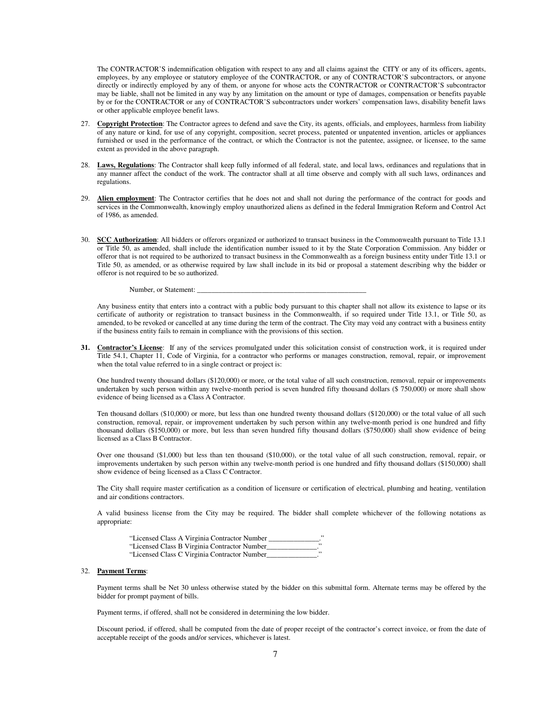The CONTRACTOR'S indemnification obligation with respect to any and all claims against the CITY or any of its officers, agents, employees, by any employee or statutory employee of the CONTRACTOR, or any of CONTRACTOR'S subcontractors, or anyone directly or indirectly employed by any of them, or anyone for whose acts the CONTRACTOR or CONTRACTOR'S subcontractor may be liable, shall not be limited in any way by any limitation on the amount or type of damages, compensation or benefits payable by or for the CONTRACTOR or any of CONTRACTOR'S subcontractors under workers' compensation laws, disability benefit laws or other applicable employee benefit laws.

- 27. Copyright Protection: The Contractor agrees to defend and save the City, its agents, officials, and employees, harmless from liability of any nature or kind, for use of any copyright, composition, secret process, patented or unpatented invention, articles or appliances furnished or used in the performance of the contract, or which the Contractor is not the patentee, assignee, or licensee, to the same extent as provided in the above paragraph.
- 28. **Laws, Regulations**: The Contractor shall keep fully informed of all federal, state, and local laws, ordinances and regulations that in any manner affect the conduct of the work. The contractor shall at all time observe and comply with all such laws, ordinances and regulations.
- 29. **Alien employment**: The Contractor certifies that he does not and shall not during the performance of the contract for goods and services in the Commonwealth, knowingly employ unauthorized aliens as defined in the federal Immigration Reform and Control Act of 1986, as amended.
- 30. **SCC Authorization**: All bidders or offerors organized or authorized to transact business in the Commonwealth pursuant to Title 13.1 or Title 50, as amended, shall include the identification number issued to it by the State Corporation Commission. Any bidder or offeror that is not required to be authorized to transact business in the Commonwealth as a foreign business entity under Title 13.1 or Title 50, as amended, or as otherwise required by law shall include in its bid or proposal a statement describing why the bidder or offeror is not required to be so authorized.

Number, or Statement:

Any business entity that enters into a contract with a public body pursuant to this chapter shall not allow its existence to lapse or its certificate of authority or registration to transact business in the Commonwealth, if so required under Title 13.1, or Title 50, as amended, to be revoked or cancelled at any time during the term of the contract. The City may void any contract with a business entity if the business entity fails to remain in compliance with the provisions of this section.

**31. Contractor's License**: If any of the services promulgated under this solicitation consist of construction work, it is required under Title 54.1, Chapter 11, Code of Virginia, for a contractor who performs or manages construction, removal, repair, or improvement when the total value referred to in a single contract or project is:

One hundred twenty thousand dollars (\$120,000) or more, or the total value of all such construction, removal, repair or improvements undertaken by such person within any twelve-month period is seven hundred fifty thousand dollars (\$ 750,000) or more shall show evidence of being licensed as a Class A Contractor.

Ten thousand dollars (\$10,000) or more, but less than one hundred twenty thousand dollars (\$120,000) or the total value of all such construction, removal, repair, or improvement undertaken by such person within any twelve-month period is one hundred and fifty thousand dollars (\$150,000) or more, but less than seven hundred fifty thousand dollars (\$750,000) shall show evidence of being licensed as a Class B Contractor.

Over one thousand (\$1,000) but less than ten thousand (\$10,000), or the total value of all such construction, removal, repair, or improvements undertaken by such person within any twelve-month period is one hundred and fifty thousand dollars (\$150,000) shall show evidence of being licensed as a Class C Contractor.

The City shall require master certification as a condition of licensure or certification of electrical, plumbing and heating, ventilation and air conditions contractors.

A valid business license from the City may be required. The bidder shall complete whichever of the following notations as appropriate:

 "Licensed Class A Virginia Contractor Number \_\_\_\_\_\_\_\_\_\_\_\_\_\_." "Licensed Class B Virginia Contractor Number\_\_\_\_\_\_\_\_\_\_\_\_\_\_." "Licensed Class C Virginia Contractor Number\_\_\_\_\_\_\_\_\_\_\_\_\_\_."

#### 32. **Payment Terms**:

Payment terms shall be Net 30 unless otherwise stated by the bidder on this submittal form. Alternate terms may be offered by the bidder for prompt payment of bills.

Payment terms, if offered, shall not be considered in determining the low bidder.

Discount period, if offered, shall be computed from the date of proper receipt of the contractor's correct invoice, or from the date of acceptable receipt of the goods and/or services, whichever is latest.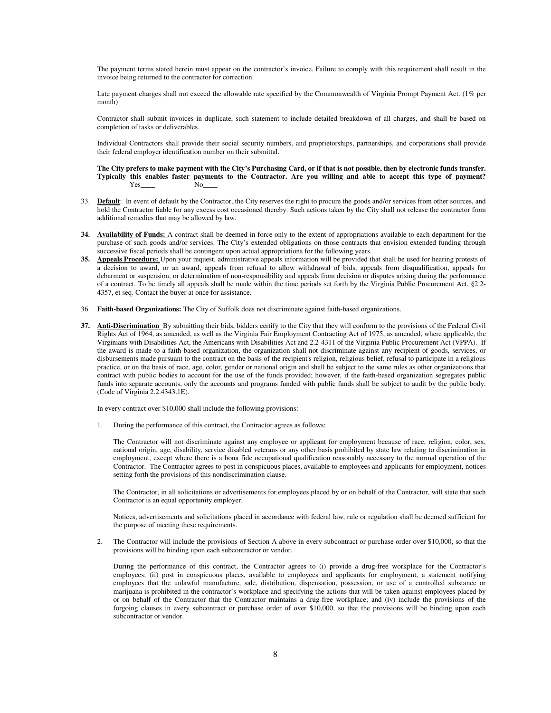The payment terms stated herein must appear on the contractor's invoice. Failure to comply with this requirement shall result in the invoice being returned to the contractor for correction.

Late payment charges shall not exceed the allowable rate specified by the Commonwealth of Virginia Prompt Payment Act. (1% per month)

Contractor shall submit invoices in duplicate, such statement to include detailed breakdown of all charges, and shall be based on completion of tasks or deliverables.

Individual Contractors shall provide their social security numbers, and proprietorships, partnerships, and corporations shall provide their federal employer identification number on their submittal.

**The City prefers to make payment with the City's Purchasing Card, or if that is not possible, then by electronic funds transfer. Typically this enables faster payments to the Contractor. Are you willing and able to accept this type of payment?**  Yes No

- 33. Default: In event of default by the Contractor, the City reserves the right to procure the goods and/or services from other sources, and hold the Contractor liable for any excess cost occasioned thereby. Such actions taken by the City shall not release the contractor from additional remedies that may be allowed by law.
- **34. Availability of Funds:** A contract shall be deemed in force only to the extent of appropriations available to each department for the purchase of such goods and/or services. The City's extended obligations on those contracts that envision extended funding through successive fiscal periods shall be contingent upon actual appropriations for the following years.
- **35. Appeals Procedure:** Upon your request, administrative appeals information will be provided that shall be used for hearing protests of a decision to award, or an award, appeals from refusal to allow withdrawal of bids, appeals from disqualification, appeals for debarment or suspension, or determination of non-responsibility and appeals from decision or disputes arising during the performance of a contract. To be timely all appeals shall be made within the time periods set forth by the Virginia Public Procurement Act, §2.2- 4357, et seq. Contact the buyer at once for assistance.
- 36. **Faith-based Organizations:** The City of Suffolk does not discriminate against faith-based organizations.
- **37. Anti-Discrimination** By submitting their bids, bidders certify to the City that they will conform to the provisions of the Federal Civil Rights Act of 1964, as amended, as well as the Virginia Fair Employment Contracting Act of 1975, as amended, where applicable, the Virginians with Disabilities Act, the Americans with Disabilities Act and 2.2-4311 of the Virginia Public Procurement Act (VPPA). If the award is made to a faith-based organization, the organization shall not discriminate against any recipient of goods, services, or disbursements made pursuant to the contract on the basis of the recipient's religion, religious belief, refusal to participate in a religious practice, or on the basis of race, age, color, gender or national origin and shall be subject to the same rules as other organizations that contract with public bodies to account for the use of the funds provided; however, if the faith-based organization segregates public funds into separate accounts, only the accounts and programs funded with public funds shall be subject to audit by the public body. (Code of Virginia 2.2.4343.1E).

In every contract over \$10,000 shall include the following provisions:

1. During the performance of this contract, the Contractor agrees as follows:

 The Contractor will not discriminate against any employee or applicant for employment because of race, religion, color, sex, national origin, age, disability, service disabled veterans or any other basis prohibited by state law relating to discrimination in employment, except where there is a bona fide occupational qualification reasonably necessary to the normal operation of the Contractor. The Contractor agrees to post in conspicuous places, available to employees and applicants for employment, notices setting forth the provisions of this nondiscrimination clause.

The Contractor, in all solicitations or advertisements for employees placed by or on behalf of the Contractor, will state that such Contractor is an equal opportunity employer.

Notices, advertisements and solicitations placed in accordance with federal law, rule or regulation shall be deemed sufficient for the purpose of meeting these requirements.

2. The Contractor will include the provisions of Section A above in every subcontract or purchase order over \$10,000, so that the provisions will be binding upon each subcontractor or vendor.

 During the performance of this contract, the Contractor agrees to (i) provide a drug-free workplace for the Contractor's employees; (ii) post in conspicuous places, available to employees and applicants for employment, a statement notifying employees that the unlawful manufacture, sale, distribution, dispensation, possession, or use of a controlled substance or marijuana is prohibited in the contractor's workplace and specifying the actions that will be taken against employees placed by or on behalf of the Contractor that the Contractor maintains a drug-free workplace; and (iv) include the provisions of the forgoing clauses in every subcontract or purchase order of over \$10,000, so that the provisions will be binding upon each subcontractor or vendor.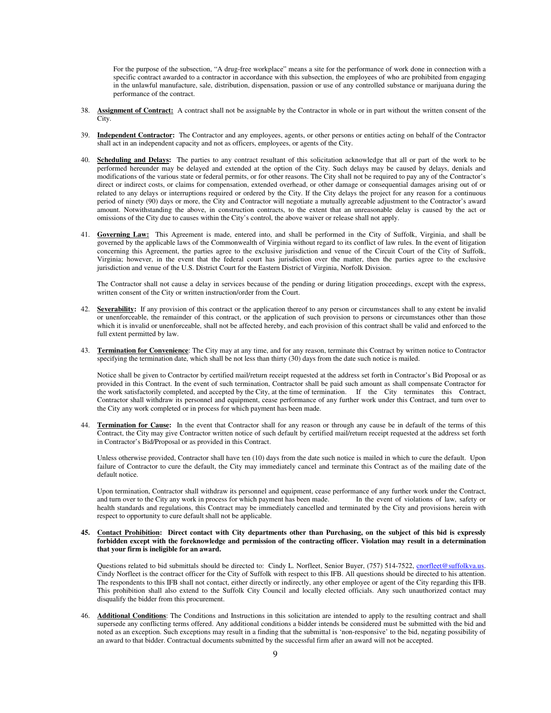For the purpose of the subsection, "A drug-free workplace" means a site for the performance of work done in connection with a specific contract awarded to a contractor in accordance with this subsection, the employees of who are prohibited from engaging in the unlawful manufacture, sale, distribution, dispensation, passion or use of any controlled substance or marijuana during the performance of the contract.

- 38. **Assignment of Contract:** A contract shall not be assignable by the Contractor in whole or in part without the written consent of the City.
- 39. **Independent Contractor:** The Contractor and any employees, agents, or other persons or entities acting on behalf of the Contractor shall act in an independent capacity and not as officers, employees, or agents of the City.
- 40. **Scheduling and Delays:** The parties to any contract resultant of this solicitation acknowledge that all or part of the work to be performed hereunder may be delayed and extended at the option of the City. Such delays may be caused by delays, denials and modifications of the various state or federal permits, or for other reasons. The City shall not be required to pay any of the Contractor's direct or indirect costs, or claims for compensation, extended overhead, or other damage or consequential damages arising out of or related to any delays or interruptions required or ordered by the City. If the City delays the project for any reason for a continuous period of ninety (90) days or more, the City and Contractor will negotiate a mutually agreeable adjustment to the Contractor's award amount. Notwithstanding the above, in construction contracts, to the extent that an unreasonable delay is caused by the act or omissions of the City due to causes within the City's control, the above waiver or release shall not apply.
- 41. **Governing Law:** This Agreement is made, entered into, and shall be performed in the City of Suffolk, Virginia, and shall be governed by the applicable laws of the Commonwealth of Virginia without regard to its conflict of law rules. In the event of litigation concerning this Agreement, the parties agree to the exclusive jurisdiction and venue of the Circuit Court of the City of Suffolk, Virginia; however, in the event that the federal court has jurisdiction over the matter, then the parties agree to the exclusive jurisdiction and venue of the U.S. District Court for the Eastern District of Virginia, Norfolk Division.

The Contractor shall not cause a delay in services because of the pending or during litigation proceedings, except with the express, written consent of the City or written instruction/order from the Court.

- 42. **Severability:** If any provision of this contract or the application thereof to any person or circumstances shall to any extent be invalid or unenforceable, the remainder of this contract, or the application of such provision to persons or circumstances other than those which it is invalid or unenforceable, shall not be affected hereby, and each provision of this contract shall be valid and enforced to the full extent permitted by law.
- 43. **Termination for Convenience**: The City may at any time, and for any reason, terminate this Contract by written notice to Contractor specifying the termination date, which shall be not less than thirty (30) days from the date such notice is mailed.

Notice shall be given to Contractor by certified mail/return receipt requested at the address set forth in Contractor's Bid Proposal or as provided in this Contract. In the event of such termination, Contractor shall be paid such amount as shall compensate Contractor for the work satisfactorily completed, and accepted by the City, at the time of termination. If the City terminates this Contract, Contractor shall withdraw its personnel and equipment, cease performance of any further work under this Contract, and turn over to the City any work completed or in process for which payment has been made.

44. **Termination for Cause:** In the event that Contractor shall for any reason or through any cause be in default of the terms of this Contract, the City may give Contractor written notice of such default by certified mail/return receipt requested at the address set forth in Contractor's Bid/Proposal or as provided in this Contract.

Unless otherwise provided, Contractor shall have ten (10) days from the date such notice is mailed in which to cure the default. Upon failure of Contractor to cure the default, the City may immediately cancel and terminate this Contract as of the mailing date of the default notice.

Upon termination, Contractor shall withdraw its personnel and equipment, cease performance of any further work under the Contract, and turn over to the City any work in process for which payment has been made. In the event and turn over to the City any work in process for which payment has been made. health standards and regulations, this Contract may be immediately cancelled and terminated by the City and provisions herein with respect to opportunity to cure default shall not be applicable.

**45. Contact Prohibition: Direct contact with City departments other than Purchasing, on the subject of this bid is expressly forbidden except with the foreknowledge and permission of the contracting officer. Violation may result in a determination that your firm is ineligible for an award.** 

Questions related to bid submittals should be directed to: Cindy L. Norfleet, Senior Buyer, (757) 514-7522, cnorfleet@suffolkva.us. Cindy Norfleet is the contract officer for the City of Suffolk with respect to this IFB. All questions should be directed to his attention. The respondents to this IFB shall not contact, either directly or indirectly, any other employee or agent of the City regarding this IFB. This prohibition shall also extend to the Suffolk City Council and locally elected officials. Any such unauthorized contact may disqualify the bidder from this procurement.

46. **Additional Conditions**: The Conditions and Instructions in this solicitation are intended to apply to the resulting contract and shall supersede any conflicting terms offered. Any additional conditions a bidder intends be considered must be submitted with the bid and noted as an exception. Such exceptions may result in a finding that the submittal is 'non-responsive' to the bid, negating possibility of an award to that bidder. Contractual documents submitted by the successful firm after an award will not be accepted.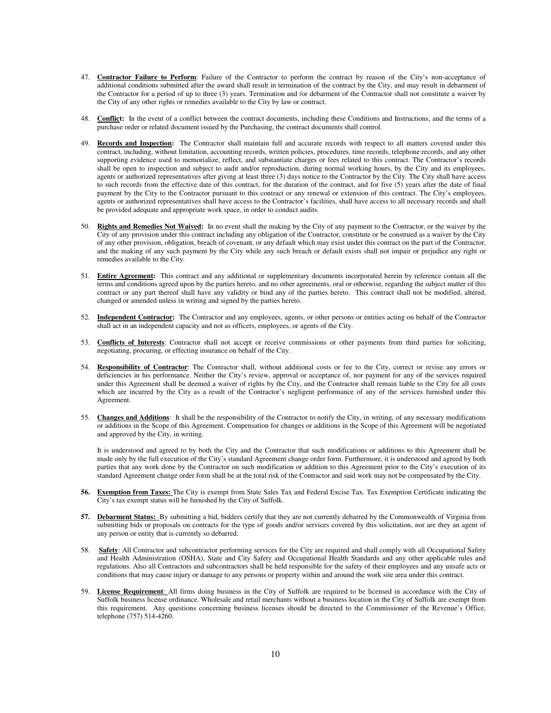- 47. **Contractor Failure to Perform**: Failure of the Contractor to perform the contract by reason of the City's non-acceptance of additional conditions submitted after the award shall result in termination of the contract by the City, and may result in debarment of the Contractor for a period of up to three (3) years. Termination and /or debarment of the Contractor shall not constitute a waiver by the City of any other rights or remedies available to the City by law or contract.
- 48. **Conflict:** In the event of a conflict between the contract documents, including these Conditions and Instructions, and the terms of a purchase order or related document issued by the Purchasing, the contract documents shall control.
- 49. **Records and Inspection:** The Contractor shall maintain full and accurate records with respect to all matters covered under this contract, including, without limitation, accounting records, written policies, procedures, time records, telephone records, and any other supporting evidence used to memorialize, reflect, and substantiate charges or fees related to this contract. The Contractor's records shall be open to inspection and subject to audit and/or reproduction, during normal working hours, by the City and its employees, agents or authorized representatives after giving at least three (3) days notice to the Contractor by the City. The City shall have access to such records from the effective date of this contract, for the duration of the contract, and for five (5) years after the date of final payment by the City to the Contractor pursuant to this contract or any renewal or extension of this contract. The City's employees, agents or authorized representatives shall have access to the Contractor's facilities, shall have access to all necessary records and shall be provided adequate and appropriate work space, in order to conduct audits.
- 50. **Rights and Remedies Not Waived:** In no event shall the making by the City of any payment to the Contractor, or the waiver by the City of any provision under this contract including any obligation of the Contractor, constitute or be construed as a waiver by the City of any other provision, obligation, breach of covenant, or any default which may exist under this contract on the part of the Contractor, and the making of any such payment by the City while any such breach or default exists shall not impair or prejudice any right or remedies available to the City.
- 51. **Entire Agreement:** This contract and any additional or supplementary documents incorporated herein by reference contain all the terms and conditions agreed upon by the parties hereto, and no other agreements, oral or otherwise, regarding the subject matter of this contract or any part thereof shall have any validity or bind any of the parties hereto. This contract shall not be modified, altered, changed or amended unless in writing and signed by the parties hereto.
- 52. **Independent Contractor:** The Contractor and any employees, agents, or other persons or entities acting on behalf of the Contractor shall act in an independent capacity and not as officers, employees, or agents of the City.
- 53. **Conflicts of Interests**: Contractor shall not accept or receive commissions or other payments from third parties for soliciting, negotiating, procuring, or effecting insurance on behalf of the City.
- 54. **Responsibility of Contractor**: The Contractor shall, without additional costs or fee to the City, correct or revise any errors or deficiencies in his performance. Neither the City's review, approval or acceptance of, nor payment for any of the services required under this Agreement shall be deemed a waiver of rights by the City, and the Contractor shall remain liable to the City for all costs which are incurred by the City as a result of the Contractor's negligent performance of any of the services furnished under this Agreement.
- 55. **Changes and Additions**: It shall be the responsibility of the Contractor to notify the City, in writing, of any necessary modifications or additions in the Scope of this Agreement. Compensation for changes or additions in the Scope of this Agreement will be negotiated and approved by the City, in writing.

It is understood and agreed to by both the City and the Contractor that such modifications or additions to this Agreement shall be made only by the full execution of the City's standard Agreement change order form. Furthermore, it is understood and agreed by both parties that any work done by the Contractor on such modification or addition to this Agreement prior to the City's execution of its standard Agreement change order form shall be at the total risk of the Contractor and said work may not be compensated by the City.

- **56. Exemption from Taxes:** The City is exempt from State Sales Tax and Federal Excise Tax. Tax Exemption Certificate indicating the City's tax exempt status will be furnished by the City of Suffolk.
- **57. Debarment Status:** By submitting a bid, bidders certify that they are not currently debarred by the Commonwealth of Virginia from submitting bids or proposals on contracts for the type of goods and/or services covered by this solicitation, nor are they an agent of any person or entity that is currently so debarred.
- 58. **Safety**: All Contractor and subcontractor performing services for the City are required and shall comply with all Occupational Safety and Health Administration (OSHA), State and City Safety and Occupational Health Standards and any other applicable rules and regulations. Also all Contractors and subcontractors shall be held responsible for the safety of their employees and any unsafe acts or conditions that may cause injury or damage to any persons or property within and around the work site area under this contract.
- 59. **License Requirement**: All firms doing business in the City of Suffolk are required to be licensed in accordance with the City of Suffolk business license ordinance. Wholesale and retail merchants without a business location in the City of Suffolk are exempt from this requirement. Any questions concerning business licenses should be directed to the Commissioner of the Revenue's Office, telephone (757) 514-4260.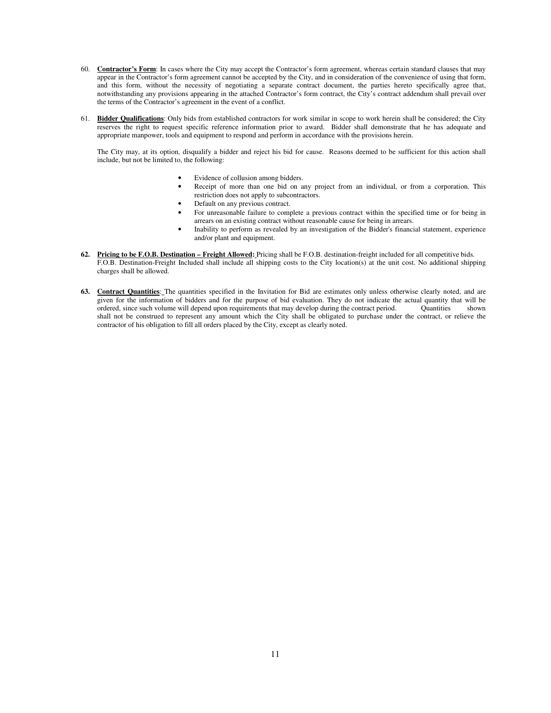- 60. **Contractor's Form**: In cases where the City may accept the Contractor's form agreement, whereas certain standard clauses that may appear in the Contractor's form agreement cannot be accepted by the City, and in consideration of the convenience of using that form, and this form, without the necessity of negotiating a separate contract document, the parties hereto specifically agree that, notwithstanding any provisions appearing in the attached Contractor's form contract, the City's contract addendum shall prevail over the terms of the Contractor's agreement in the event of a conflict.
- 61. **Bidder Qualifications**: Only bids from established contractors for work similar in scope to work herein shall be considered; the City reserves the right to request specific reference information prior to award. Bidder shall demonstrate that he has adequate and appropriate manpower, tools and equipment to respond and perform in accordance with the provisions herein.

The City may, at its option, disqualify a bidder and reject his bid for cause. Reasons deemed to be sufficient for this action shall include, but not be limited to, the following:

- Evidence of collusion among bidders.
- Receipt of more than one bid on any project from an individual, or from a corporation. This restriction does not apply to subcontractors.
	- Default on any previous contract.
- For unreasonable failure to complete a previous contract within the specified time or for being in arrears on an existing contract without reasonable cause for being in arrears.
- Inability to perform as revealed by an investigation of the Bidder's financial statement, experience and/or plant and equipment.
- **62. Pricing to be F.O.B. Destination Freight Allowed:** Pricing shall be F.O.B. destination-freight included for all competitive bids. F.O.B. Destination-Freight Included shall include all shipping costs to the City location(s) at the unit cost. No additional shipping charges shall be allowed.
- **63. Contract Quantities**: The quantities specified in the Invitation for Bid are estimates only unless otherwise clearly noted, and are given for the information of bidders and for the purpose of bid evaluation. They do not indicate the actual quantity that will be ordered, since such volume will depend upon requirements that may develop during the contract period. Quantities shown shall not be construed to represent any amount which the City shall be obligated to purchase under the contract, or relieve the contractor of his obligation to fill all orders placed by the City, except as clearly noted.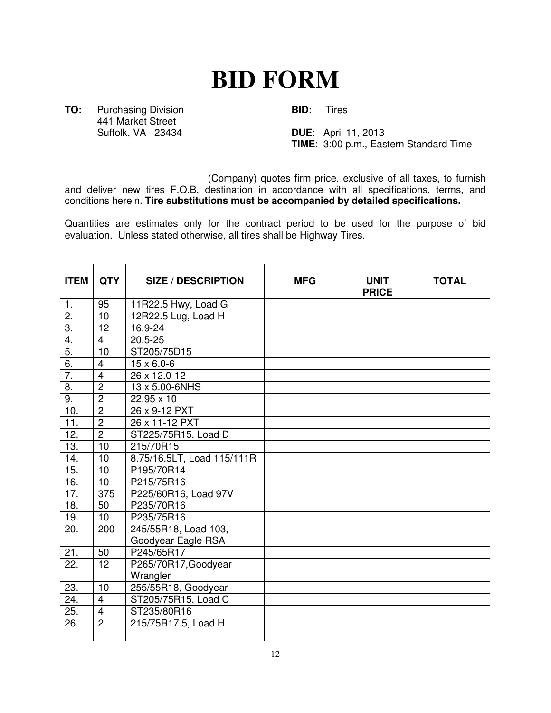# **BID FORM**

**TO:** Purchasing Division **BID:** Tires 441 Market Street<br>Suffolk, VA 23434

**DUE:** April 11, 2013 **TIME**: 3:00 p.m., Eastern Standard Time

\_\_\_\_\_\_\_\_\_\_\_\_\_\_\_\_\_\_\_\_\_\_\_\_\_\_(Company) quotes firm price, exclusive of all taxes, to furnish and deliver new tires F.O.B. destination in accordance with all specifications, terms, and conditions herein. **Tire substitutions must be accompanied by detailed specifications.**

Quantities are estimates only for the contract period to be used for the purpose of bid evaluation. Unless stated otherwise, all tires shall be Highway Tires.

| <b>ITEM</b>      | <b>QTY</b>     | <b>SIZE / DESCRIPTION</b>  | <b>MFG</b> | <b>UNIT</b><br><b>PRICE</b> | <b>TOTAL</b> |
|------------------|----------------|----------------------------|------------|-----------------------------|--------------|
| $\mathbf{1}$ .   | 95             | 11R22.5 Hwy, Load G        |            |                             |              |
| 2.               | 10             | 12R22.5 Lug, Load H        |            |                             |              |
| $\overline{3}$ . | 12             | 16.9-24                    |            |                             |              |
| 4.               | $\overline{4}$ | $20.5 - 25$                |            |                             |              |
| $\overline{5}$ . | 10             | ST205/75D15                |            |                             |              |
| 6.               | $\overline{4}$ | $15 \times 6.0 - 6$        |            |                             |              |
| $\overline{7}$ . | $\overline{4}$ | 26 x 12.0-12               |            |                             |              |
| 8.               | $\overline{2}$ | 13 x 5.00-6NHS             |            |                             |              |
| 9.               | $\overline{2}$ | 22.95 x 10                 |            |                             |              |
| 10.              | $\overline{2}$ | 26 x 9-12 PXT              |            |                             |              |
| 11.              | $\overline{2}$ | 26 x 11-12 PXT             |            |                             |              |
| 12.              | $\overline{2}$ | ST225/75R15, Load D        |            |                             |              |
| 13.              | 10             | 215/70R15                  |            |                             |              |
| 14.              | 10             | 8.75/16.5LT, Load 115/111R |            |                             |              |
| 15.              | 10             | P195/70R14                 |            |                             |              |
| 16.              | 10             | P215/75R16                 |            |                             |              |
| 17.              | 375            | P225/60R16, Load 97V       |            |                             |              |
| 18.              | 50             | P235/70R16                 |            |                             |              |
| 19.              | 10             | P235/75R16                 |            |                             |              |
| 20.              | 200            | 245/55R18, Load 103,       |            |                             |              |
|                  |                | Goodyear Eagle RSA         |            |                             |              |
| 21.              | 50             | P245/65R17                 |            |                             |              |
| 22.              | 12             | P265/70R17, Goodyear       |            |                             |              |
|                  |                | Wrangler                   |            |                             |              |
| 23.              | 10             | 255/55R18, Goodyear        |            |                             |              |
| 24.              | $\overline{4}$ | ST205/75R15, Load C        |            |                             |              |
| 25.              | $\overline{4}$ | ST235/80R16                |            |                             |              |
| 26.              | $\overline{2}$ | 215/75R17.5, Load H        |            |                             |              |
|                  |                |                            |            |                             |              |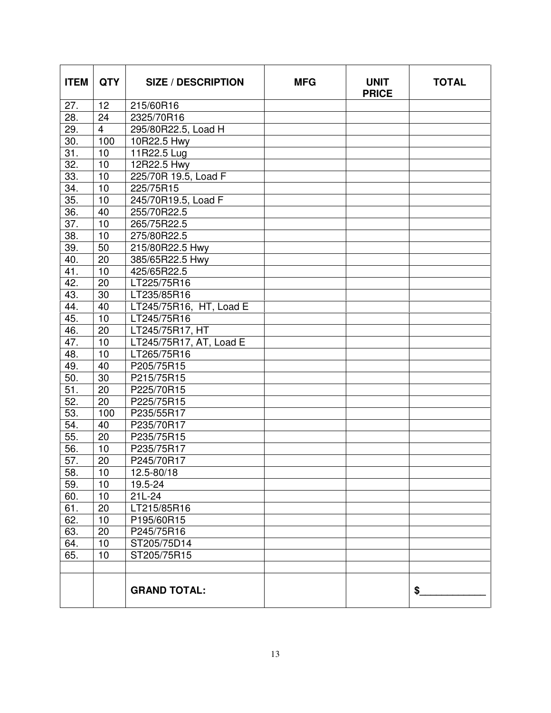| <b>ITEM</b>     | <b>QTY</b>      | <b>SIZE / DESCRIPTION</b> | <b>MFG</b> | <b>UNIT</b><br><b>PRICE</b> | <b>TOTAL</b> |
|-----------------|-----------------|---------------------------|------------|-----------------------------|--------------|
| 27.             | 12              | 215/60R16                 |            |                             |              |
| 28.             | 24              | 2325/70R16                |            |                             |              |
| 29.             | $\overline{4}$  | 295/80R22.5, Load H       |            |                             |              |
| 30.             | 100             | 10R22.5 Hwy               |            |                             |              |
| 31.             | 10              | 11R22.5 Lug               |            |                             |              |
| 32.             | 10              | 12R22.5 Hwy               |            |                             |              |
| 33.             | 10              | 225/70R 19.5, Load F      |            |                             |              |
| 34.             | 10              | 225/75R15                 |            |                             |              |
| 35.             | 10              | 245/70R19.5, Load F       |            |                             |              |
| 36.             | 40              | 255/70R22.5               |            |                             |              |
| 37.             | 10              | 265/75R22.5               |            |                             |              |
| 38.             | 10              | 275/80R22.5               |            |                             |              |
| 39.             | 50              | 215/80R22.5 Hwy           |            |                             |              |
| 40.             | 20              | 385/65R22.5 Hwy           |            |                             |              |
| 41.             | 10              | 425/65R22.5               |            |                             |              |
| 42.             | 20              | LT225/75R16               |            |                             |              |
| 43.             | 30              | LT235/85R16               |            |                             |              |
| 44.             | 40              | LT245/75R16, HT, Load E   |            |                             |              |
| 45.             | 10              | LT245/75R16               |            |                             |              |
| 46.             | 20              | LT245/75R17, HT           |            |                             |              |
| 47.             | 10              | LT245/75R17, AT, Load E   |            |                             |              |
| 48.             | 10              | LT265/75R16               |            |                             |              |
| 49.             | 40              | P205/75R15                |            |                             |              |
| 50.             | 30              | P215/75R15                |            |                             |              |
| $\overline{51}$ | $\overline{20}$ | P225/70R15                |            |                             |              |
| 52.             | 20              | P225/75R15                |            |                             |              |
| 53.             | 100             | P235/55R17                |            |                             |              |
| 54.             | 40              | P235/70R17                |            |                             |              |
| 55.             | 20              | P235/75R15                |            |                             |              |
| 56.             | 10              | P235/75R17                |            |                             |              |
| 57.             | 20              | P245/70R17                |            |                             |              |
| 58.             | 10              | 12.5-80/18                |            |                             |              |
| 59.             | 10              | 19.5-24                   |            |                             |              |
| 60.             | 10              | $21L-24$                  |            |                             |              |
| 61.             | 20              | LT215/85R16               |            |                             |              |
| 62.             | 10              | P195/60R15                |            |                             |              |
| 63.             | 20              | P245/75R16                |            |                             |              |
| 64.             | 10              | ST205/75D14               |            |                             |              |
| 65.             | 10              | ST205/75R15               |            |                             |              |
|                 |                 |                           |            |                             |              |
|                 |                 | <b>GRAND TOTAL:</b>       |            |                             | \$           |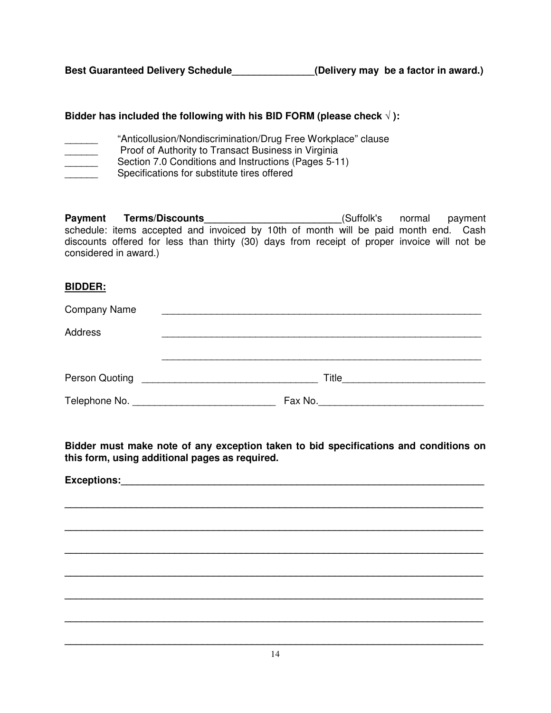# **Bidder has included the following with his BID FORM (please check** √ **):**

- "Anticollusion/Nondiscrimination/Drug Free Workplace" clause
- Proof of Authority to Transact Business in Virginia
- **Section 7.0 Conditions and Instructions (Pages 5-11)**
- Specifications for substitute tires offered

**Payment Terms/Discounts\_\_\_\_\_\_\_\_\_\_\_\_\_\_\_\_\_\_\_\_\_\_\_\_\_**(Suffolk's normal payment schedule: items accepted and invoiced by 10th of month will be paid month end. Cash discounts offered for less than thirty (30) days from receipt of proper invoice will not be considered in award.)

# **BIDDER:**

| <b>Company Name</b> |         |  |
|---------------------|---------|--|
| Address             |         |  |
|                     |         |  |
| Person Quoting      |         |  |
|                     | Fax No. |  |

**Bidder must make note of any exception taken to bid specifications and conditions on this form, using additional pages as required.** 

**\_\_\_\_\_\_\_\_\_\_\_\_\_\_\_\_\_\_\_\_\_\_\_\_\_\_\_\_\_\_\_\_\_\_\_\_\_\_\_\_\_\_\_\_\_\_\_\_\_\_\_\_\_\_\_\_\_\_\_\_\_\_\_\_\_\_\_\_\_\_\_\_\_\_\_\_**

**\_\_\_\_\_\_\_\_\_\_\_\_\_\_\_\_\_\_\_\_\_\_\_\_\_\_\_\_\_\_\_\_\_\_\_\_\_\_\_\_\_\_\_\_\_\_\_\_\_\_\_\_\_\_\_\_\_\_\_\_\_\_\_\_\_\_\_\_\_\_\_\_\_\_\_\_** 

**\_\_\_\_\_\_\_\_\_\_\_\_\_\_\_\_\_\_\_\_\_\_\_\_\_\_\_\_\_\_\_\_\_\_\_\_\_\_\_\_\_\_\_\_\_\_\_\_\_\_\_\_\_\_\_\_\_\_\_\_\_\_\_\_\_\_\_\_\_\_\_\_\_\_\_\_**

**\_\_\_\_\_\_\_\_\_\_\_\_\_\_\_\_\_\_\_\_\_\_\_\_\_\_\_\_\_\_\_\_\_\_\_\_\_\_\_\_\_\_\_\_\_\_\_\_\_\_\_\_\_\_\_\_\_\_\_\_\_\_\_\_\_\_\_\_\_\_\_\_\_\_\_\_** 

**\_\_\_\_\_\_\_\_\_\_\_\_\_\_\_\_\_\_\_\_\_\_\_\_\_\_\_\_\_\_\_\_\_\_\_\_\_\_\_\_\_\_\_\_\_\_\_\_\_\_\_\_\_\_\_\_\_\_\_\_\_\_\_\_\_\_\_\_\_\_\_\_\_\_\_\_**

**\_\_\_\_\_\_\_\_\_\_\_\_\_\_\_\_\_\_\_\_\_\_\_\_\_\_\_\_\_\_\_\_\_\_\_\_\_\_\_\_\_\_\_\_\_\_\_\_\_\_\_\_\_\_\_\_\_\_\_\_\_\_\_\_\_\_\_\_\_\_\_\_\_\_\_\_** 

**Exceptions:**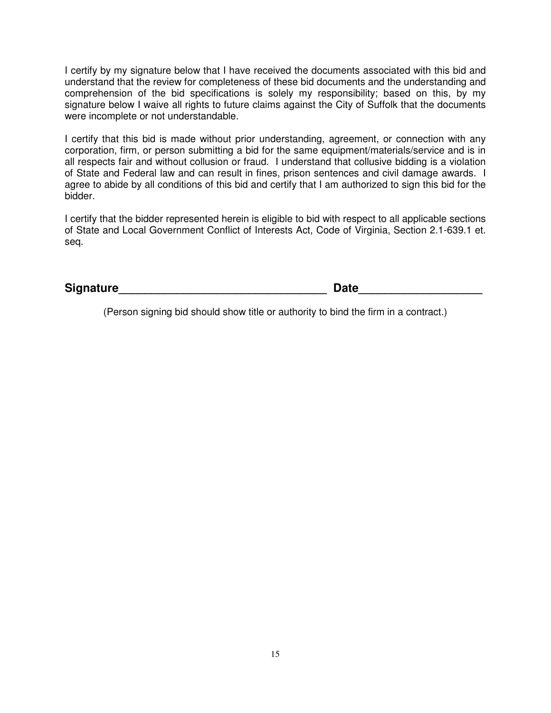I certify by my signature below that I have received the documents associated with this bid and understand that the review for completeness of these bid documents and the understanding and comprehension of the bid specifications is solely my responsibility; based on this, by my signature below I waive all rights to future claims against the City of Suffolk that the documents were incomplete or not understandable.

I certify that this bid is made without prior understanding, agreement, or connection with any corporation, firm, or person submitting a bid for the same equipment/materials/service and is in all respects fair and without collusion or fraud. I understand that collusive bidding is a violation of State and Federal law and can result in fines, prison sentences and civil damage awards. I agree to abide by all conditions of this bid and certify that I am authorized to sign this bid for the bidder.

I certify that the bidder represented herein is eligible to bid with respect to all applicable sections of State and Local Government Conflict of Interests Act, Code of Virginia, Section 2.1-639.1 et. seq.

Signature **Constant Constant Constant Constant Constant Constant Constant Constant Constant Constant Constant Constant Constant Constant Constant Constant Constant Constant Constant Constant Constant Constant Constant Cons** 

(Person signing bid should show title or authority to bind the firm in a contract.)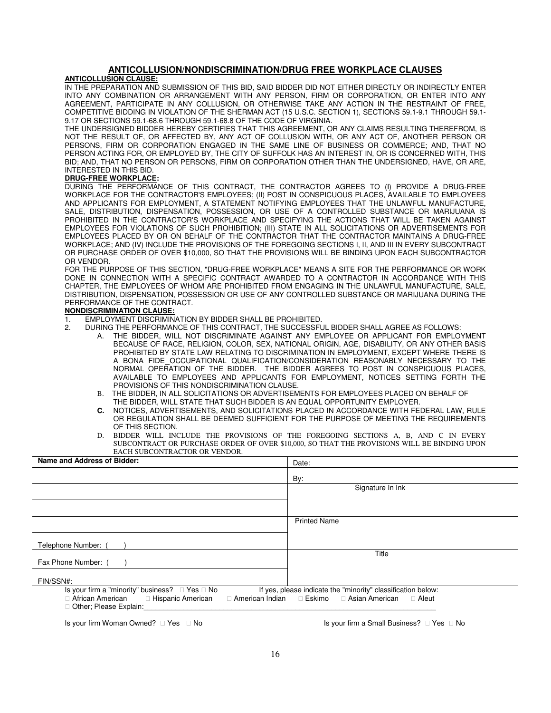### **ANTICOLLUSION/NONDISCRIMINATION/DRUG FREE WORKPLACE CLAUSES**

#### **ANTICOLLUSION CLAUSE:**

IN THE PREPARATION AND SUBMISSION OF THIS BID, SAID BIDDER DID NOT EITHER DIRECTLY OR INDIRECTLY ENTER INTO ANY COMBINATION OR ARRANGEMENT WITH ANY PERSON, FIRM OR CORPORATION, OR ENTER INTO ANY AGREEMENT, PARTICIPATE IN ANY COLLUSION, OR OTHERWISE TAKE ANY ACTION IN THE RESTRAINT OF FREE, COMPETITIVE BIDDING IN VIOLATION OF THE SHERMAN ACT (15 U.S.C. SECTION 1), SECTIONS 59.1-9.1 THROUGH 59.1- 9.17 OR SECTIONS 59.1-68.6 THROUGH 59.1-68.8 OF THE CODE OF VIRGINIA.

THE UNDERSIGNED BIDDER HEREBY CERTIFIES THAT THIS AGREEMENT, OR ANY CLAIMS RESULTING THEREFROM, IS NOT THE RESULT OF, OR AFFECTED BY, ANY ACT OF COLLUSION WITH, OR ANY ACT OF, ANOTHER PERSON OR PERSONS, FIRM OR CORPORATION ENGAGED IN THE SAME LINE OF BUSINESS OR COMMERCE; AND, THAT NO PERSON ACTING FOR, OR EMPLOYED BY, THE CITY OF SUFFOLK HAS AN INTEREST IN, OR IS CONCERNED WITH, THIS BID; AND, THAT NO PERSON OR PERSONS, FIRM OR CORPORATION OTHER THAN THE UNDERSIGNED, HAVE, OR ARE, INTERESTED IN THIS BID.

#### **DRUG-FREE WORKPLACE:**

DURING THE PERFORMANCE OF THIS CONTRACT, THE CONTRACTOR AGREES TO (I) PROVIDE A DRUG-FREE WORKPLACE FOR THE CONTRACTOR'S EMPLOYEES; (II) POST IN CONSPICUOUS PLACES, AVAILABLE TO EMPLOYEES AND APPLICANTS FOR EMPLOYMENT, A STATEMENT NOTIFYING EMPLOYEES THAT THE UNLAWFUL MANUFACTURE, SALE, DISTRIBUTION, DISPENSATION, POSSESSION, OR USE OF A CONTROLLED SUBSTANCE OR MARIJUANA IS PROHIBITED IN THE CONTRACTOR'S WORKPLACE AND SPECIFYING THE ACTIONS THAT WILL BE TAKEN AGAINST EMPLOYEES FOR VIOLATIONS OF SUCH PROHIBITION; (III) STATE IN ALL SOLICITATIONS OR ADVERTISEMENTS FOR EMPLOYEES PLACED BY OR ON BEHALF OF THE CONTRACTOR THAT THE CONTRACTOR MAINTAINS A DRUG-FREE WORKPLACE; AND (IV) INCLUDE THE PROVISIONS OF THE FOREGOING SECTIONS I, II, AND III IN EVERY SUBCONTRACT OR PURCHASE ORDER OF OVER \$10,000, SO THAT THE PROVISIONS WILL BE BINDING UPON EACH SUBCONTRACTOR OR VENDOR.

FOR THE PURPOSE OF THIS SECTION, "DRUG-FREE WORKPLACE" MEANS A SITE FOR THE PERFORMANCE OR WORK DONE IN CONNECTION WITH A SPECIFIC CONTRACT AWARDED TO A CONTRACTOR IN ACCORDANCE WITH THIS CHAPTER, THE EMPLOYEES OF WHOM ARE PROHIBITED FROM ENGAGING IN THE UNLAWFUL MANUFACTURE, SALE, DISTRIBUTION, DISPENSATION, POSSESSION OR USE OF ANY CONTROLLED SUBSTANCE OR MARIJUANA DURING THE PERFORMANCE OF THE CONTRACT.

#### **NONDISCRIMINATION CLAUSE:**

- 1. EMPLOYMENT DISCRIMINATION BY BIDDER SHALL BE PROHIBITED.<br>2. DURING THE PERFORMANCE OF THIS CONTRACT, THE SUCCESSFU
	- 2. DURING THE PERFORMANCE OF THIS CONTRACT, THE SUCCESSFUL BIDDER SHALL AGREE AS FOLLOWS:
		- A. THE BIDDER, WILL NOT DISCRIMINATE AGAINST ANY EMPLOYEE OR APPLICANT FOR EMPLOYMENT BECAUSE OF RACE, RELIGION, COLOR, SEX, NATIONAL ORIGIN, AGE, DISABILITY, OR ANY OTHER BASIS PROHIBITED BY STATE LAW RELATING TO DISCRIMINATION IN EMPLOYMENT, EXCEPT WHERE THERE IS A BONA FIDE OCCUPATIONAL QUALIFICATION/CONSIDERATION REASONABLY NECESSARY TO THE NORMAL OPERATION OF THE BIDDER. THE BIDDER AGREES TO POST IN CONSPICUOUS PLACES, AVAILABLE TO EMPLOYEES AND APPLICANTS FOR EMPLOYMENT, NOTICES SETTING FORTH THE PROVISIONS OF THIS NONDISCRIMINATION CLAUSE.
		- B. THE BIDDER, IN ALL SOLICITATIONS OR ADVERTISEMENTS FOR EMPLOYEES PLACED ON BEHALF OF THE BIDDER, WILL STATE THAT SUCH BIDDER IS AN EQUAL OPPORTUNITY EMPLOYER.
		- **C.** NOTICES, ADVERTISEMENTS, AND SOLICITATIONS PLACED IN ACCORDANCE WITH FEDERAL LAW, RULE OR REGULATION SHALL BE DEEMED SUFFICIENT FOR THE PURPOSE OF MEETING THE REQUIREMENTS OF THIS SECTION.
		- BIDDER WILL INCLUDE THE PROVISIONS OF THE FOREGOING SECTIONS A, B, AND C IN EVERY SUBCONTRACT OR PURCHASE ORDER OF OVER \$10,000, SO THAT THE PROVISIONS WILL BE BINDING UPON EACH SUBCONTRACTOR OR VENDOR.

| Name and Address of Bidder:                                                                                                      | Date:                                                                                             |
|----------------------------------------------------------------------------------------------------------------------------------|---------------------------------------------------------------------------------------------------|
|                                                                                                                                  | By:                                                                                               |
|                                                                                                                                  | Signature In Ink                                                                                  |
|                                                                                                                                  |                                                                                                   |
|                                                                                                                                  | <b>Printed Name</b>                                                                               |
| Telephone Number: (                                                                                                              |                                                                                                   |
| Fax Phone Number: (                                                                                                              | Title                                                                                             |
| FIN/SSN#:                                                                                                                        |                                                                                                   |
| Is your firm a "minority" business?<br>Yes No<br>African American Hispanic American<br>American Indian<br>Other; Please Explain: | If yes, please indicate the "minority" classification below:<br>Eskimo<br>Asian American<br>Aleut |
| $\sim$ $\sim$ $\sim$ $\sim$ $\sim$ $\sim$ $\sim$                                                                                 |                                                                                                   |

Is your firm Woman Owned? The No Is your firm a Small Business? The No